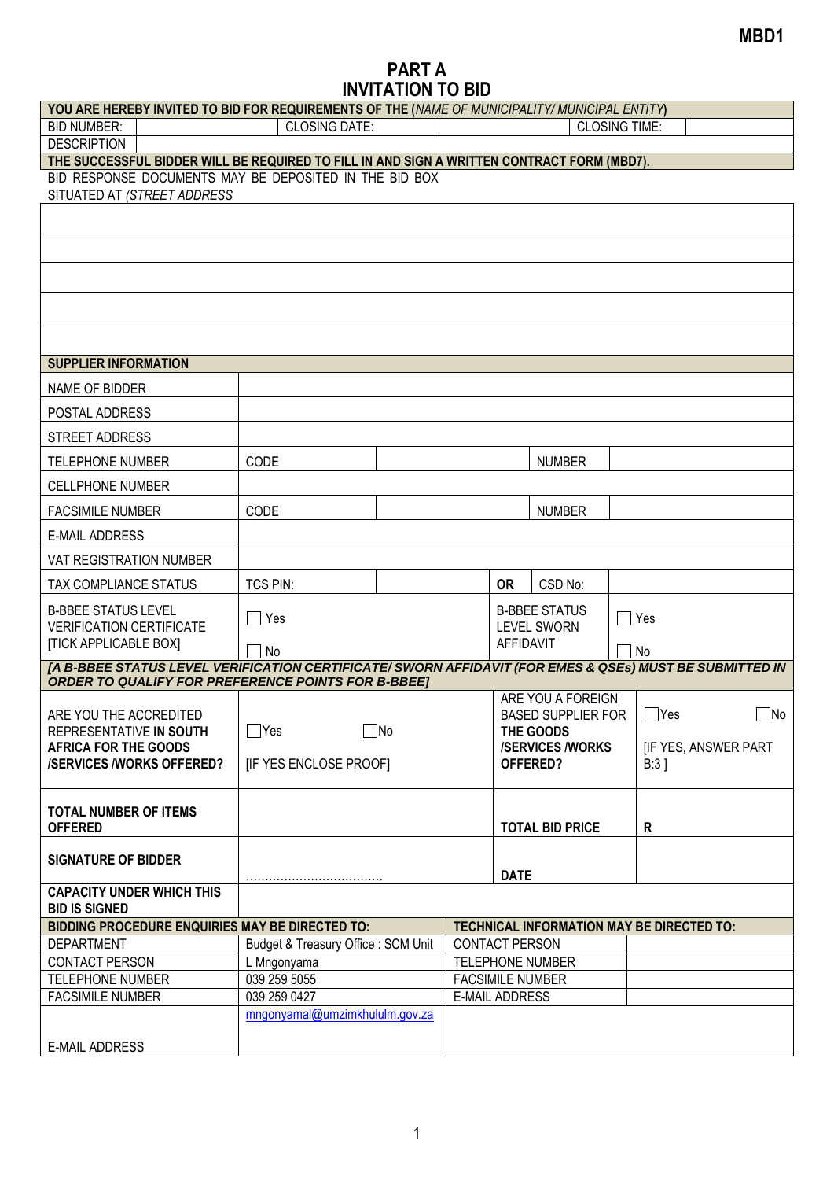## **PART A INVITATION TO BID**

| YOU ARE HEREBY INVITED TO BID FOR REQUIREMENTS OF THE (NAME OF MUNICIPALITY/ MUNICIPAL ENTITY)          |                                     |                         |                                                                    |                                                         |                                     |  |                            |  |
|---------------------------------------------------------------------------------------------------------|-------------------------------------|-------------------------|--------------------------------------------------------------------|---------------------------------------------------------|-------------------------------------|--|----------------------------|--|
| <b>BID NUMBER:</b>                                                                                      | <b>CLOSING DATE:</b>                |                         |                                                                    | <b>CLOSING TIME:</b>                                    |                                     |  |                            |  |
| <b>DESCRIPTION</b>                                                                                      |                                     |                         |                                                                    |                                                         |                                     |  |                            |  |
| THE SUCCESSFUL BIDDER WILL BE REQUIRED TO FILL IN AND SIGN A WRITTEN CONTRACT FORM (MBD7).              |                                     |                         |                                                                    |                                                         |                                     |  |                            |  |
| BID RESPONSE DOCUMENTS MAY BE DEPOSITED IN THE BID BOX<br>SITUATED AT (STREET ADDRESS                   |                                     |                         |                                                                    |                                                         |                                     |  |                            |  |
|                                                                                                         |                                     |                         |                                                                    |                                                         |                                     |  |                            |  |
|                                                                                                         |                                     |                         |                                                                    |                                                         |                                     |  |                            |  |
|                                                                                                         |                                     |                         |                                                                    |                                                         |                                     |  |                            |  |
|                                                                                                         |                                     |                         |                                                                    |                                                         |                                     |  |                            |  |
|                                                                                                         |                                     |                         |                                                                    |                                                         |                                     |  |                            |  |
| <b>SUPPLIER INFORMATION</b>                                                                             |                                     |                         |                                                                    |                                                         |                                     |  |                            |  |
| NAME OF BIDDER                                                                                          |                                     |                         |                                                                    |                                                         |                                     |  |                            |  |
| POSTAL ADDRESS                                                                                          |                                     |                         |                                                                    |                                                         |                                     |  |                            |  |
| <b>STREET ADDRESS</b>                                                                                   |                                     |                         |                                                                    |                                                         |                                     |  |                            |  |
| <b>TELEPHONE NUMBER</b>                                                                                 | CODE                                |                         |                                                                    |                                                         | <b>NUMBER</b>                       |  |                            |  |
| <b>CELLPHONE NUMBER</b>                                                                                 |                                     |                         |                                                                    |                                                         |                                     |  |                            |  |
| <b>FACSIMILE NUMBER</b>                                                                                 | CODE                                |                         |                                                                    |                                                         | <b>NUMBER</b>                       |  |                            |  |
| <b>E-MAIL ADDRESS</b>                                                                                   |                                     |                         |                                                                    |                                                         |                                     |  |                            |  |
| <b>VAT REGISTRATION NUMBER</b>                                                                          |                                     |                         |                                                                    |                                                         |                                     |  |                            |  |
| TAX COMPLIANCE STATUS                                                                                   | <b>TCS PIN:</b>                     |                         |                                                                    | <b>OR</b>                                               | CSD No:                             |  |                            |  |
| <b>B-BBEE STATUS LEVEL</b><br><b>VERIFICATION CERTIFICATE</b>                                           | $\sqsupset$ Yes                     |                         |                                                                    | <b>B-BBEE STATUS</b><br><b>LEVEL SWORN</b><br>AFFIDAVIT |                                     |  | $\bigcap$ Yes              |  |
| <b>[TICK APPLICABLE BOX]</b>                                                                            | 7 No                                |                         |                                                                    |                                                         |                                     |  | No                         |  |
| [A B-BBEE STATUS LEVEL VERIFICATION CERTIFICATE/ SWORN AFFIDAVIT (FOR EMES & QSEs) MUST BE SUBMITTED IN |                                     |                         |                                                                    |                                                         |                                     |  |                            |  |
| <b>ORDER TO QUALIFY FOR PREFERENCE POINTS FOR B-BBEET</b>                                               |                                     |                         |                                                                    |                                                         |                                     |  |                            |  |
| ARE YOU THE ACCREDITED                                                                                  |                                     |                         |                                                                    | ARE YOU A FOREIGN<br><b>BASED SUPPLIER FOR</b>          |                                     |  | $\Box$ Yes<br>$\Box$ No    |  |
| REPRESENTATIVE IN SOUTH<br><b>AFRICA FOR THE GOODS</b>                                                  |                                     | $\Box$ Yes<br>$\Box$ No |                                                                    |                                                         | THE GOODS<br><b>/SERVICES/WORKS</b> |  | <b>IF YES, ANSWER PART</b> |  |
| <b>/SERVICES/WORKS OFFERED?</b>                                                                         | [IF YES ENCLOSE PROOF]              |                         |                                                                    | OFFERED?                                                |                                     |  | B:3                        |  |
|                                                                                                         |                                     |                         |                                                                    |                                                         |                                     |  |                            |  |
| <b>TOTAL NUMBER OF ITEMS</b><br><b>OFFERED</b>                                                          |                                     |                         |                                                                    | <b>TOTAL BID PRICE</b>                                  |                                     |  |                            |  |
|                                                                                                         |                                     |                         |                                                                    |                                                         |                                     |  | R                          |  |
| <b>SIGNATURE OF BIDDER</b>                                                                              |                                     |                         |                                                                    | <b>DATE</b>                                             |                                     |  |                            |  |
| <b>CAPACITY UNDER WHICH THIS</b>                                                                        |                                     |                         |                                                                    |                                                         |                                     |  |                            |  |
| <b>BID IS SIGNED</b><br><b>BIDDING PROCEDURE ENQUIRIES MAY BE DIRECTED TO:</b>                          |                                     |                         |                                                                    |                                                         |                                     |  |                            |  |
| <b>DEPARTMENT</b>                                                                                       | Budget & Treasury Office : SCM Unit |                         | TECHNICAL INFORMATION MAY BE DIRECTED TO:<br><b>CONTACT PERSON</b> |                                                         |                                     |  |                            |  |
| <b>CONTACT PERSON</b>                                                                                   | L Mngonyama                         |                         | TELEPHONE NUMBER                                                   |                                                         |                                     |  |                            |  |
| <b>TELEPHONE NUMBER</b>                                                                                 | 039 259 5055                        |                         | <b>FACSIMILE NUMBER</b>                                            |                                                         |                                     |  |                            |  |
| <b>FACSIMILE NUMBER</b>                                                                                 | 039 259 0427                        |                         | <b>E-MAIL ADDRESS</b>                                              |                                                         |                                     |  |                            |  |
|                                                                                                         | mngonyamal@umzimkhululm.gov.za      |                         |                                                                    |                                                         |                                     |  |                            |  |
| <b>E-MAIL ADDRESS</b>                                                                                   |                                     |                         |                                                                    |                                                         |                                     |  |                            |  |